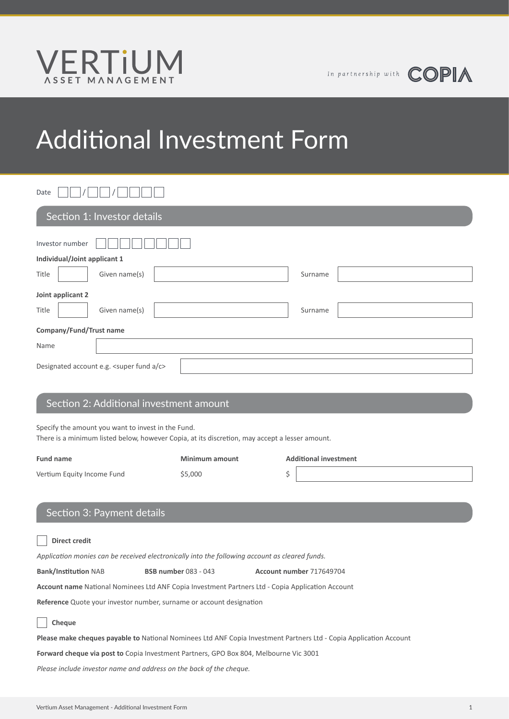

# Additional Investment Form

Date | || |/| || |/

| Section 1: Investor details               |  |  |  |  |  |
|-------------------------------------------|--|--|--|--|--|
| Investor number                           |  |  |  |  |  |
| Individual/Joint applicant 1              |  |  |  |  |  |
| Title<br>Given name(s)<br>Surname         |  |  |  |  |  |
| Joint applicant 2                         |  |  |  |  |  |
| Title<br>Given name(s)<br>Surname         |  |  |  |  |  |
| Company/Fund/Trust name                   |  |  |  |  |  |
| Name                                      |  |  |  |  |  |
| Designated account e.g. < super fund a/c> |  |  |  |  |  |

### Section 2: Additional investment amount

Specify the amount you want to invest in the Fund.

There is a minimum listed below, however Copia, at its discretion, may accept a lesser amount.

| <b>Fund name</b>           | <b>Minimum amount</b> | <b>Additional investment</b> |
|----------------------------|-----------------------|------------------------------|
| Vertium Equity Income Fund | \$5,000               |                              |
|                            |                       |                              |

## Section 3: Payment details

| <b>Direct credit</b>                                                                                                      |                             |                          |  |  |  |
|---------------------------------------------------------------------------------------------------------------------------|-----------------------------|--------------------------|--|--|--|
| Application monies can be received electronically into the following account as cleared funds.                            |                             |                          |  |  |  |
| <b>Bank/Institution NAB</b>                                                                                               | <b>BSB number 083 - 043</b> | Account number 717649704 |  |  |  |
| Account name National Nominees Ltd ANF Copia Investment Partners Ltd - Copia Application Account                          |                             |                          |  |  |  |
| Reference Quote your investor number, surname or account designation                                                      |                             |                          |  |  |  |
| Cheque                                                                                                                    |                             |                          |  |  |  |
| <b>Please make cheques payable to</b> National Nominees Ltd ANF Copia Investment Partners Ltd - Copia Application Account |                             |                          |  |  |  |
| Forward cheque via post to Copia Investment Partners, GPO Box 804, Melbourne Vic 3001                                     |                             |                          |  |  |  |
| Please include investor name and address on the back of the cheque.                                                       |                             |                          |  |  |  |
|                                                                                                                           |                             |                          |  |  |  |